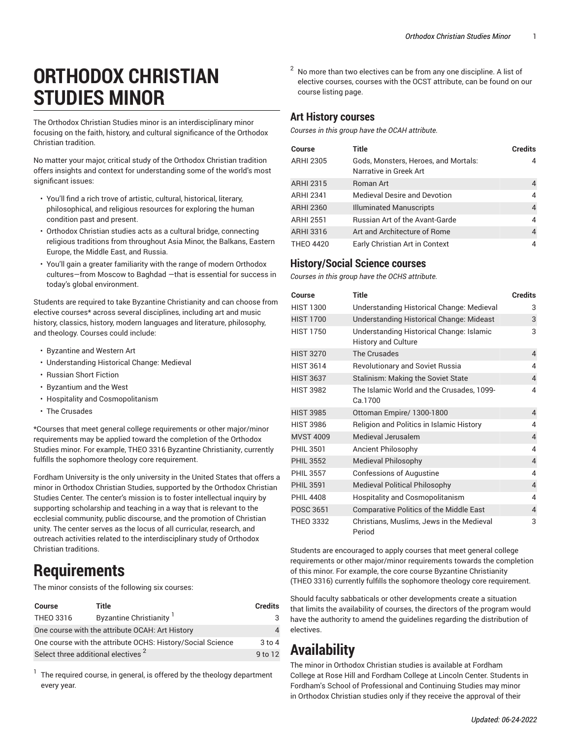# **ORTHODOX CHRISTIAN STUDIES MINOR**

The Orthodox Christian Studies minor is an interdisciplinary minor focusing on the faith, history, and cultural significance of the Orthodox Christian tradition.

No matter your major, critical study of the Orthodox Christian tradition offers insights and context for understanding some of the world's most significant issues:

- You'll find a rich trove of artistic, cultural, historical, literary, philosophical, and religious resources for exploring the human condition past and present.
- Orthodox Christian studies acts as a cultural bridge, connecting religious traditions from throughout Asia Minor, the Balkans, Eastern Europe, the Middle East, and Russia.
- You'll gain a greater familiarity with the range of modern Orthodox cultures—from Moscow to Baghdad —that is essential for success in today's global environment.

Students are required to take Byzantine Christianity and can choose from elective courses\* across several disciplines, including art and music history, classics, history, modern languages and literature, philosophy, and theology. Courses could include:

- Byzantine and Western Art
- Understanding Historical Change: Medieval
- Russian Short Fiction
- Byzantium and the West
- Hospitality and Cosmopolitanism
- The Crusades

\*Courses that meet general college requirements or other major/minor requirements may be applied toward the completion of the Orthodox Studies minor. For example, THEO 3316 Byzantine Christianity, currently fulfills the sophomore theology core requirement.

Fordham University is the only university in the United States that offers a minor in Orthodox Christian Studies, supported by the Orthodox Christian Studies Center. The center's mission is to foster intellectual inquiry by supporting scholarship and teaching in a way that is relevant to the ecclesial community, public discourse, and the promotion of Christian unity. The center serves as the locus of all curricular, research, and outreach activities related to the interdisciplinary study of Orthodox Christian traditions.

## **Requirements**

The minor consists of the following six courses:

| <b>Course</b>                                              | Title                               | <b>Credits</b> |
|------------------------------------------------------------|-------------------------------------|----------------|
| THEO 3316                                                  | Byzantine Christianity <sup>1</sup> | 3              |
| One course with the attribute OCAH: Art History            |                                     |                |
| One course with the attribute OCHS: History/Social Science |                                     | $3$ to 4       |
| Select three additional electives <sup>2</sup>             |                                     | 9 to 12        |

1 The required course, in general, is offered by the theology department every year.

 $2$  No more than two electives can be from any one discipline. A list of elective courses, courses with the OCST attribute, can be found on our [course listing page.](/undergraduate/orthodox-christian-studies/#coursestext)

#### **Art History courses**

*Courses in this group have the OCAH attribute.*

| Course           | Title                                                          | <b>Credits</b> |
|------------------|----------------------------------------------------------------|----------------|
| <b>ARHI 2305</b> | Gods, Monsters, Heroes, and Mortals:<br>Narrative in Greek Art | 4              |
| <b>ARHI 2315</b> | <b>Roman Art</b>                                               | 4              |
| <b>ARHI 2341</b> | <b>Medieval Desire and Devotion</b>                            | 4              |
| <b>ARHI 2360</b> | <b>Illuminated Manuscripts</b>                                 | $\overline{4}$ |
| <b>ARHI 2551</b> | Russian Art of the Avant-Garde                                 | 4              |
| ARHI 3316        | Art and Architecture of Rome                                   | 4              |
| THFO 4420        | Early Christian Art in Context                                 | 4              |

### **History/Social Science courses**

*Courses in this group have the OCHS attribute.*

| Course           | Title                                                                  | <b>Credits</b> |
|------------------|------------------------------------------------------------------------|----------------|
| <b>HIST 1300</b> | Understanding Historical Change: Medieval                              | 3              |
| <b>HIST 1700</b> | Understanding Historical Change: Mideast                               | 3              |
| <b>HIST 1750</b> | Understanding Historical Change: Islamic<br><b>History and Culture</b> | 3              |
| <b>HIST 3270</b> | The Crusades                                                           | $\overline{4}$ |
| <b>HIST 3614</b> | <b>Revolutionary and Soviet Russia</b>                                 | 4              |
| <b>HIST 3637</b> | Stalinism: Making the Soviet State                                     | 4              |
| <b>HIST 3982</b> | The Islamic World and the Crusades, 1099-<br>Ca.1700                   | 4              |
| <b>HIST 3985</b> | Ottoman Empire/ 1300-1800                                              | 4              |
| <b>HIST 3986</b> | Religion and Politics in Islamic History                               | 4              |
| <b>MVST 4009</b> | Medieval Jerusalem                                                     | $\overline{4}$ |
| PHII 3501        | Ancient Philosophy                                                     | 4              |
| <b>PHIL 3552</b> | <b>Medieval Philosophy</b>                                             | $\overline{4}$ |
| <b>PHIL 3557</b> | <b>Confessions of Augustine</b>                                        | 4              |
| <b>PHIL 3591</b> | <b>Medieval Political Philosophy</b>                                   | 4              |
| <b>PHIL 4408</b> | Hospitality and Cosmopolitanism                                        | 4              |
| <b>POSC 3651</b> | <b>Comparative Politics of the Middle East</b>                         | 4              |
| <b>THEO 3332</b> | Christians, Muslims, Jews in the Medieval<br>Period                    | 3              |

Students are encouraged to apply courses that meet general college requirements or other major/minor requirements towards the completion of this minor. For example, the core course Byzantine Christianity (THEO 3316) currently fulfills the sophomore theology core requirement.

Should faculty sabbaticals or other developments create a situation that limits the availability of courses, the directors of the program would have the authority to amend the guidelines regarding the distribution of electives.

### **Availability**

The minor in Orthodox Christian studies is available at Fordham College at Rose Hill and Fordham College at Lincoln Center. Students in Fordham's School of Professional and Continuing Studies may minor in Orthodox Christian studies only if they receive the approval of their